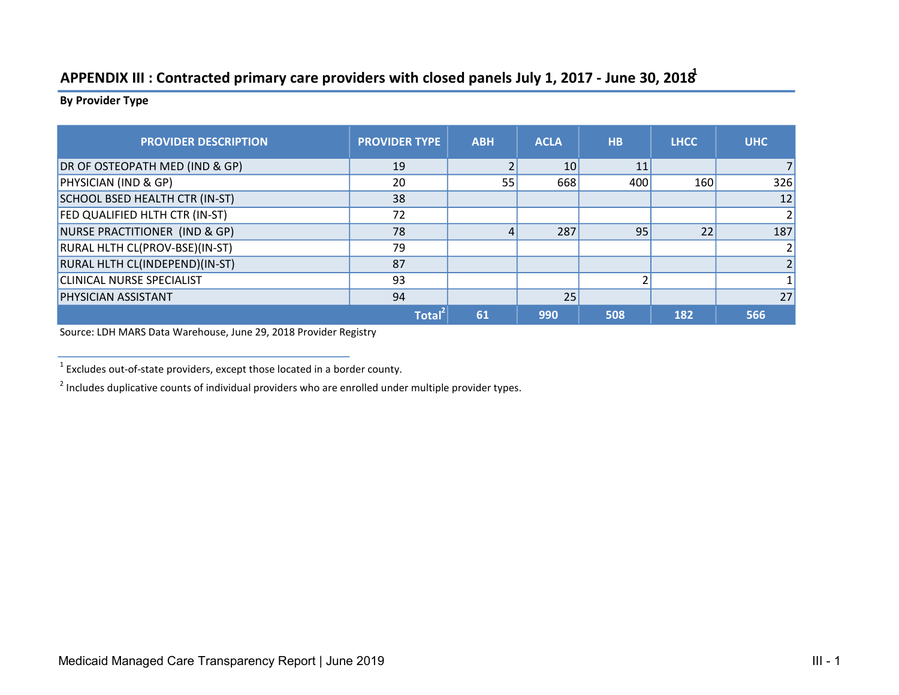## APPENDIX III : Contracted primary care providers with closed panels July 1, 2017 - June 30, 2018<sup>1</sup>

By Provider Type

| <b>PROVIDER DESCRIPTION</b>      | <b>PROVIDER TYPE</b> | <b>ABH</b> | <b>ACLA</b> | <b>HB</b> | <b>LHCC</b> | <b>UHC</b> |
|----------------------------------|----------------------|------------|-------------|-----------|-------------|------------|
| DR OF OSTEOPATH MED (IND & GP)   | 19                   |            | 10          | 11        |             |            |
| PHYSICIAN (IND & GP)             | 20                   | 55         | 668         | 400       | 160         | 326        |
| SCHOOL BSED HEALTH CTR (IN-ST)   | 38                   |            |             |           |             | 12         |
| FED QUALIFIED HLTH CTR (IN-ST)   | 72                   |            |             |           |             |            |
| NURSE PRACTITIONER (IND & GP)    | 78                   |            | 287         | 95        | 22          | 187        |
| RURAL HLTH CL(PROV-BSE)(IN-ST)   | 79                   |            |             |           |             |            |
| RURAL HLTH CL(INDEPEND)(IN-ST)   | 87                   |            |             |           |             |            |
| <b>CLINICAL NURSE SPECIALIST</b> | 93                   |            |             |           |             |            |
| <b>PHYSICIAN ASSISTANT</b>       | 94                   |            | 25          |           |             | 27         |
|                                  | Total                | 61         | 990         | 508       | 182         | 566        |

Source: LDH MARS Data Warehouse, June 29, 2018 Provider Registry

 $1$  Excludes out-of-state providers, except those located in a border county.

 $2$  Includes duplicative counts of individual providers who are enrolled under multiple provider types.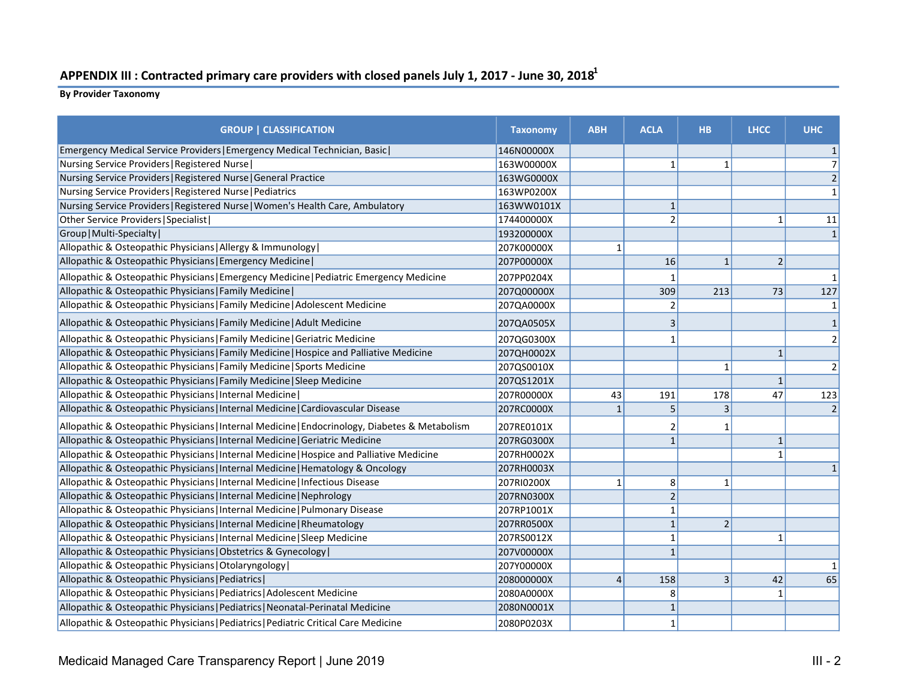## APPENDIX III : Contracted primary care providers with closed panels July 1, 2017 - June 30, 2018<sup>1</sup>

By Provider Taxonomy

| <b>GROUP   CLASSIFICATION</b>                                                                  | <b>Taxonomy</b> | <b>ABH</b> | <b>ACLA</b>    | <b>HB</b>      | <b>LHCC</b>    | <b>UHC</b>     |
|------------------------------------------------------------------------------------------------|-----------------|------------|----------------|----------------|----------------|----------------|
| Emergency Medical Service Providers   Emergency Medical Technician, Basic                      | 146N00000X      |            |                |                |                |                |
| Nursing Service Providers   Registered Nurse                                                   | 163W00000X      |            | $\mathbf{1}$   | $\mathbf{1}$   |                |                |
| Nursing Service Providers   Registered Nurse   General Practice                                | 163WG0000X      |            |                |                |                |                |
| Nursing Service Providers   Registered Nurse   Pediatrics                                      | 163WP0200X      |            |                |                |                |                |
| Nursing Service Providers   Registered Nurse   Women's Health Care, Ambulatory                 | 163WW0101X      |            | $\mathbf{1}$   |                |                |                |
| Other Service Providers   Specialist                                                           | 174400000X      |            | $\overline{2}$ |                | 1              | 11             |
| Group   Multi-Specialty                                                                        | 193200000X      |            |                |                |                |                |
| Allopathic & Osteopathic Physicians   Allergy & Immunology                                     | 207K00000X      | 1          |                |                |                |                |
| Allopathic & Osteopathic Physicians   Emergency Medicine                                       | 207P00000X      |            | 16             | $1\,$          | $\overline{2}$ |                |
| Allopathic & Osteopathic Physicians   Emergency Medicine   Pediatric Emergency Medicine        | 207PP0204X      |            | 1              |                |                |                |
| Allopathic & Osteopathic Physicians   Family Medicine                                          | 207Q00000X      |            | 309            | 213            | 73             | 127            |
| Allopathic & Osteopathic Physicians   Family Medicine   Adolescent Medicine                    | 207QA0000X      |            | $\overline{2}$ |                |                |                |
| Allopathic & Osteopathic Physicians   Family Medicine   Adult Medicine                         | 207QA0505X      |            | 3              |                |                |                |
| Allopathic & Osteopathic Physicians   Family Medicine   Geriatric Medicine                     | 207QG0300X      |            | 1              |                |                |                |
| Allopathic & Osteopathic Physicians   Family Medicine   Hospice and Palliative Medicine        | 207QH0002X      |            |                |                | $\mathbf 1$    |                |
| Allopathic & Osteopathic Physicians   Family Medicine   Sports Medicine                        | 207QS0010X      |            |                | $\mathbf{1}$   |                | $\overline{2}$ |
| Allopathic & Osteopathic Physicians   Family Medicine   Sleep Medicine                         | 207QS1201X      |            |                |                | $\mathbf{1}$   |                |
| Allopathic & Osteopathic Physicians   Internal Medicine                                        | 207R00000X      | 43         | 191            | 178            | 47             | 123            |
| Allopathic & Osteopathic Physicians   Internal Medicine   Cardiovascular Disease               | 207RC0000X      | $1\vert$   | 5              | 3              |                |                |
| Allopathic & Osteopathic Physicians   Internal Medicine   Endocrinology, Diabetes & Metabolism | 207RE0101X      |            | 2              | 1              |                |                |
| Allopathic & Osteopathic Physicians   Internal Medicine   Geriatric Medicine                   | 207RG0300X      |            | $\mathbf{1}$   |                | $1\,$          |                |
| Allopathic & Osteopathic Physicians   Internal Medicine   Hospice and Palliative Medicine      | 207RH0002X      |            |                |                | $\mathbf{1}$   |                |
| Allopathic & Osteopathic Physicians   Internal Medicine   Hematology & Oncology                | 207RH0003X      |            |                |                |                |                |
| Allopathic & Osteopathic Physicians   Internal Medicine   Infectious Disease                   | 207RI0200X      | $1\vert$   | 8              | $\mathbf{1}$   |                |                |
| Allopathic & Osteopathic Physicians   Internal Medicine   Nephrology                           | 207RN0300X      |            | $\overline{2}$ |                |                |                |
| Allopathic & Osteopathic Physicians   Internal Medicine   Pulmonary Disease                    | 207RP1001X      |            | $\mathbf{1}$   |                |                |                |
| Allopathic & Osteopathic Physicians   Internal Medicine   Rheumatology                         | 207RR0500X      |            | $\mathbf{1}$   | $\overline{2}$ |                |                |
| Allopathic & Osteopathic Physicians   Internal Medicine   Sleep Medicine                       | 207RS0012X      |            | $\mathbf{1}$   |                | $\mathbf 1$    |                |
| Allopathic & Osteopathic Physicians   Obstetrics & Gynecology                                  | 207V00000X      |            | $\mathbf{1}$   |                |                |                |
| Allopathic & Osteopathic Physicians   Otolaryngology                                           | 207Y00000X      |            |                |                |                |                |
| Allopathic & Osteopathic Physicians   Pediatrics                                               | 208000000X      | $4\vert$   | 158            | 3              | 42             | 65             |
| Allopathic & Osteopathic Physicians   Pediatrics   Adolescent Medicine                         | 2080A0000X      |            | 8              |                | $\mathbf{1}$   |                |
| Allopathic & Osteopathic Physicians   Pediatrics   Neonatal-Perinatal Medicine                 | 2080N0001X      |            | $\mathbf{1}$   |                |                |                |
| Allopathic & Osteopathic Physicians   Pediatrics   Pediatric Critical Care Medicine            | 2080P0203X      |            | $\mathbf{1}$   |                |                |                |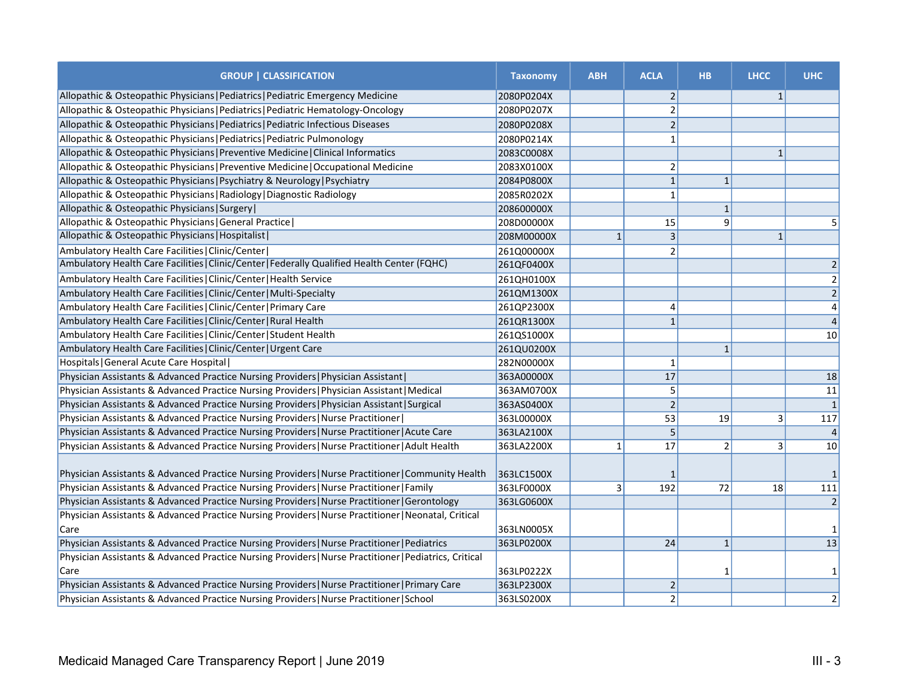| <b>GROUP   CLASSIFICATION</b>                                                                          | <b>Taxonomy</b> | <b>ABH</b>   | <b>ACLA</b>     | <b>HB</b>      | <b>LHCC</b>  | <b>UHC</b>     |
|--------------------------------------------------------------------------------------------------------|-----------------|--------------|-----------------|----------------|--------------|----------------|
| Allopathic & Osteopathic Physicians   Pediatrics   Pediatric Emergency Medicine                        | 2080P0204X      |              | $\overline{2}$  |                | $\mathbf{1}$ |                |
| Allopathic & Osteopathic Physicians   Pediatrics   Pediatric Hematology-Oncology                       | 2080P0207X      |              | $\overline{2}$  |                |              |                |
| Allopathic & Osteopathic Physicians   Pediatrics   Pediatric Infectious Diseases                       | 2080P0208X      |              | $\overline{2}$  |                |              |                |
| Allopathic & Osteopathic Physicians   Pediatrics   Pediatric Pulmonology                               | 2080P0214X      |              | $\mathbf{1}$    |                |              |                |
| Allopathic & Osteopathic Physicians   Preventive Medicine   Clinical Informatics                       | 2083C0008X      |              |                 |                | $\mathbf{1}$ |                |
| Allopathic & Osteopathic Physicians   Preventive Medicine   Occupational Medicine                      | 2083X0100X      |              | $\overline{2}$  |                |              |                |
| Allopathic & Osteopathic Physicians   Psychiatry & Neurology   Psychiatry                              | 2084P0800X      |              | 1               | $\mathbf{1}$   |              |                |
| Allopathic & Osteopathic Physicians   Radiology   Diagnostic Radiology                                 | 2085R0202X      |              | $\mathbf{1}$    |                |              |                |
| Allopathic & Osteopathic Physicians   Surgery                                                          | 208600000X      |              |                 | $\mathbf{1}$   |              |                |
| Allopathic & Osteopathic Physicians   General Practice                                                 | 208D00000X      |              | 15              | 9              |              | 5              |
| Allopathic & Osteopathic Physicians   Hospitalist                                                      | 208M00000X      | $\mathbf{1}$ | $\vert$ 3       |                | $\mathbf{1}$ |                |
| Ambulatory Health Care Facilities   Clinic/Center                                                      | 261Q00000X      |              | $\overline{2}$  |                |              |                |
| Ambulatory Health Care Facilities   Clinic/Center   Federally Qualified Health Center (FQHC)           | 261QF0400X      |              |                 |                |              | 2              |
| Ambulatory Health Care Facilities   Clinic/Center   Health Service                                     | 261QH0100X      |              |                 |                |              | $\overline{2}$ |
| Ambulatory Health Care Facilities   Clinic/Center   Multi-Specialty                                    | 261QM1300X      |              |                 |                |              | $\overline{2}$ |
| Ambulatory Health Care Facilities   Clinic/Center   Primary Care                                       | 261QP2300X      |              | $\overline{4}$  |                |              |                |
| Ambulatory Health Care Facilities   Clinic/Center   Rural Health                                       | 261QR1300X      |              | $\mathbf 1$     |                |              | $\overline{a}$ |
| Ambulatory Health Care Facilities   Clinic/Center   Student Health                                     | 261QS1000X      |              |                 |                |              | 10             |
| Ambulatory Health Care Facilities   Clinic/Center   Urgent Care                                        | 261QU0200X      |              |                 | $\mathbf{1}$   |              |                |
| Hospitals   General Acute Care Hospital                                                                | 282N00000X      |              | $\mathbf{1}$    |                |              |                |
| Physician Assistants & Advanced Practice Nursing Providers   Physician Assistant                       | 363A00000X      |              | 17              |                |              | 18             |
| Physician Assistants & Advanced Practice Nursing Providers   Physician Assistant   Medical             | 363AM0700X      |              | 5 <sup>1</sup>  |                |              | 11             |
| Physician Assistants & Advanced Practice Nursing Providers   Physician Assistant   Surgical            | 363AS0400X      |              | $\overline{2}$  |                |              | $\mathbf{1}$   |
| Physician Assistants & Advanced Practice Nursing Providers   Nurse Practitioner                        | 363L00000X      |              | $\overline{53}$ | 19             | 3            | 117            |
| Physician Assistants & Advanced Practice Nursing Providers   Nurse Practitioner   Acute Care           | 363LA2100X      |              | 5 <sup>1</sup>  |                |              | $\overline{a}$ |
| Physician Assistants & Advanced Practice Nursing Providers   Nurse Practitioner   Adult Health         | 363LA2200X      | 1            | 17              | $\overline{2}$ | 3            | 10             |
| Physician Assistants & Advanced Practice Nursing Providers   Nurse Practitioner   Community Health     | 363LC1500X      |              | 1               |                |              |                |
| Physician Assistants & Advanced Practice Nursing Providers   Nurse Practitioner   Family               | 363LF0000X      | 3            | 192             | 72             | 18           | 111            |
| Physician Assistants & Advanced Practice Nursing Providers   Nurse Practitioner   Gerontology          | 363LG0600X      |              |                 |                |              | $\vert$ 2      |
| Physician Assistants & Advanced Practice Nursing Providers   Nurse Practitioner   Neonatal, Critical   |                 |              |                 |                |              |                |
| Care                                                                                                   | 363LN0005X      |              |                 |                |              | 1              |
| Physician Assistants & Advanced Practice Nursing Providers   Nurse Practitioner   Pediatrics           | 363LP0200X      |              | 24              | $\mathbf{1}$   |              | 13             |
| Physician Assistants & Advanced Practice Nursing Providers   Nurse Practitioner   Pediatrics, Critical |                 |              |                 |                |              |                |
| Care                                                                                                   | 363LP0222X      |              |                 | 1              |              | $\mathbf 1$    |
| Physician Assistants & Advanced Practice Nursing Providers   Nurse Practitioner   Primary Care         | 363LP2300X      |              | $\vert$ 2       |                |              |                |
| Physician Assistants & Advanced Practice Nursing Providers   Nurse Practitioner   School               | 363LS0200X      |              | $\overline{2}$  |                |              | $\mathbf{2}$   |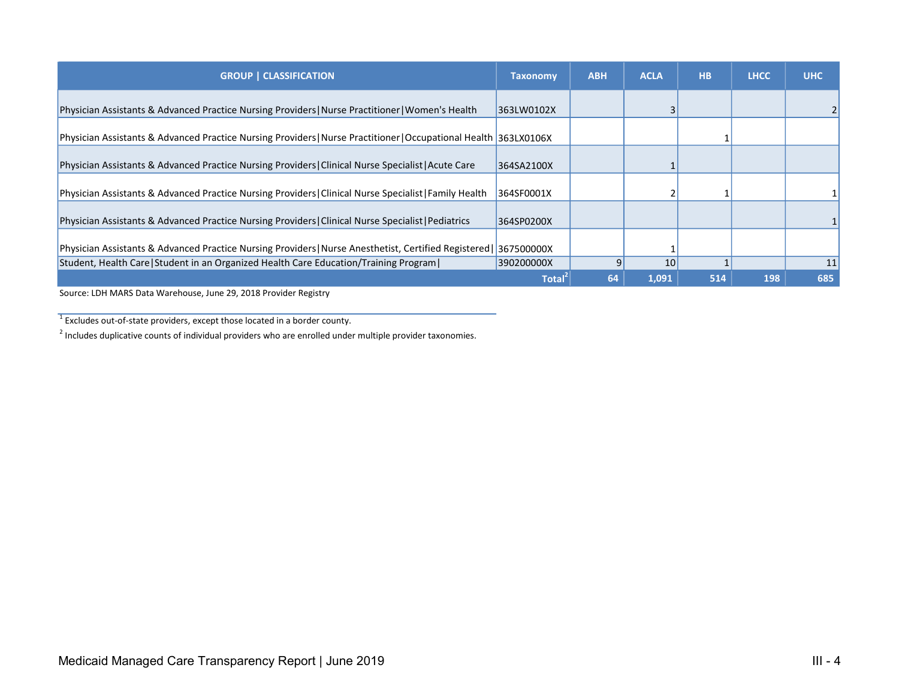| <b>GROUP   CLASSIFICATION</b>                                                                                    | <b>Taxonomy</b> | <b>ABH</b> | <b>ACLA</b> | <b>HB</b> | <b>LHCC</b> | <b>UHC</b> |
|------------------------------------------------------------------------------------------------------------------|-----------------|------------|-------------|-----------|-------------|------------|
| Physician Assistants & Advanced Practice Nursing Providers   Nurse Practitioner   Women's Health                 | 363LW0102X      |            |             |           |             |            |
| Physician Assistants & Advanced Practice Nursing Providers   Nurse Practitioner   Occupational Health 363LX0106X |                 |            |             |           |             |            |
| Physician Assistants & Advanced Practice Nursing Providers   Clinical Nurse Specialist   Acute Care              | 364SA2100X      |            |             |           |             |            |
| Physician Assistants & Advanced Practice Nursing Providers Clinical Nurse Specialist Family Health               | 364SF0001X      |            |             |           |             |            |
| Physician Assistants & Advanced Practice Nursing Providers   Clinical Nurse Specialist   Pediatrics              | 364SP0200X      |            |             |           |             |            |
| Physician Assistants & Advanced Practice Nursing Providers   Nurse Anesthetist, Certified Registered             | 367500000X      |            |             |           |             |            |
| Student, Health Care   Student in an Organized Health Care Education/Training Program                            | 390200000X      |            | 10          |           |             | 11         |
|                                                                                                                  | <b>Total</b>    | 64         | 1,091       | 514       | 198         | 685        |

Source: LDH MARS Data Warehouse, June 29, 2018 Provider Registry

 $1$  Excludes out-of-state providers, except those located in a border county.

 $<sup>2</sup>$  Includes duplicative counts of individual providers who are enrolled under multiple provider taxonomies.</sup>